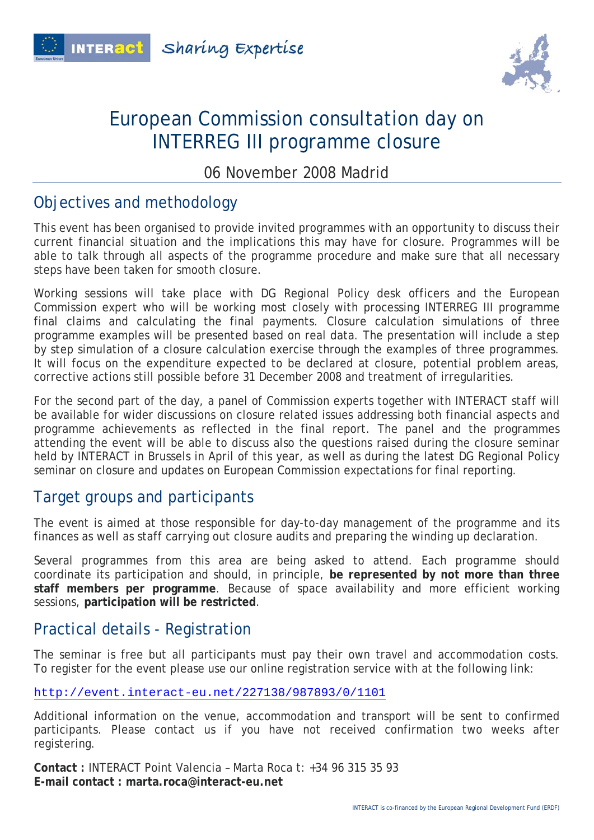



## European Commission consultation day on INTERREG III programme closure

06 November 2008 Madrid

#### Objectives and methodology

This event has been organised to provide invited programmes with an opportunity to discuss their current financial situation and the implications this may have for closure. Programmes will be able to talk through all aspects of the programme procedure and make sure that all necessary steps have been taken for smooth closure.

Working sessions will take place with DG Regional Policy desk officers and the European Commission expert who will be working most closely with processing INTERREG III programme final claims and calculating the final payments. Closure calculation simulations of three programme examples will be presented based on real data. The presentation will include a step by step simulation of a closure calculation exercise through the examples of three programmes. It will focus on the expenditure expected to be declared at closure, potential problem areas, corrective actions still possible before 31 December 2008 and treatment of irregularities.

For the second part of the day, a panel of Commission experts together with INTERACT staff will be available for wider discussions on closure related issues addressing both financial aspects and programme achievements as reflected in the final report. The panel and the programmes attending the event will be able to discuss also the questions raised during the closure seminar held by INTERACT in Brussels in April of this year, as well as during the latest DG Regional Policy seminar on closure and updates on European Commission expectations for final reporting.

#### Target groups and participants

The event is aimed at those responsible for day-to-day management of the programme and its finances as well as staff carrying out closure audits and preparing the winding up declaration.

Several programmes from this area are being asked to attend. Each programme should coordinate its participation and should, in principle, **be represented by not more than three staff members per programme**. Because of space availability and more efficient working sessions, **participation will be restricted**.

### Practical details - Registration

The seminar is free but all participants must pay their own travel and accommodation costs. To register for the event please use our online registration service with at the following link:

http://event.interact-eu.net/227138/987893/0/1101

Additional information on the venue, accommodation and transport will be sent to confirmed participants. Please contact us if you have not received confirmation two weeks after registering.

**Contact :** INTERACT Point Valencia – Marta Roca t: +34 96 315 35 93 **E-mail contact : marta.roca@interact-eu.net**